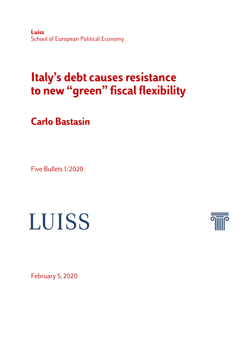**Luiss**  School of European Political Economy

## **Italy's debt causes resistance to new "green" fiscal flexibility**

**Carlo Bastasin**

Five Bullets 1/2020

## **LUISS**



February 5, 2020